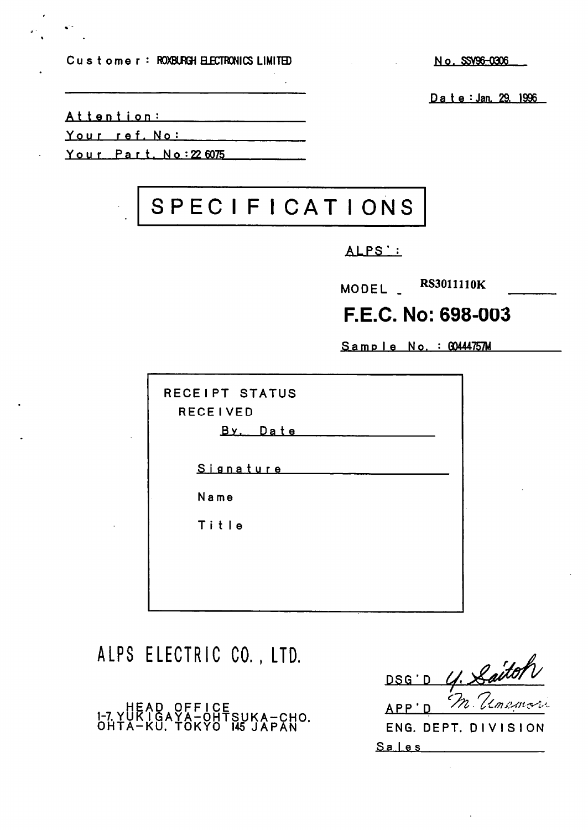Customer: ROXBURGH ELECTRONICS LIMITED

No. SSV96-0306

Date: Jan. 29, 1996

Attention:

Your ref. No:

Your Part, No: 22 6075

# SPECIFICATIONS

# ALPS':

MODEL \_ RS3011110K

# F.E.C. No: 698-003

Sample No. : GO444757M

| RECEIPT STATUS<br><b>RECEIVED</b><br>By Date |
|----------------------------------------------|
| Signature                                    |
| Name                                         |
| Title                                        |
|                                              |
|                                              |
|                                              |

ALPS ELECTRIC CO., LTD.

HEAD OFFICE<br>1-7 YUKIGAYA-OHTSUKA-CHO.<br>OHTA-KU. TOKYO 145 JAPAN

4. Laitor DSG'D APP'D ENG. DEPT. DIVISION

 $S$ ales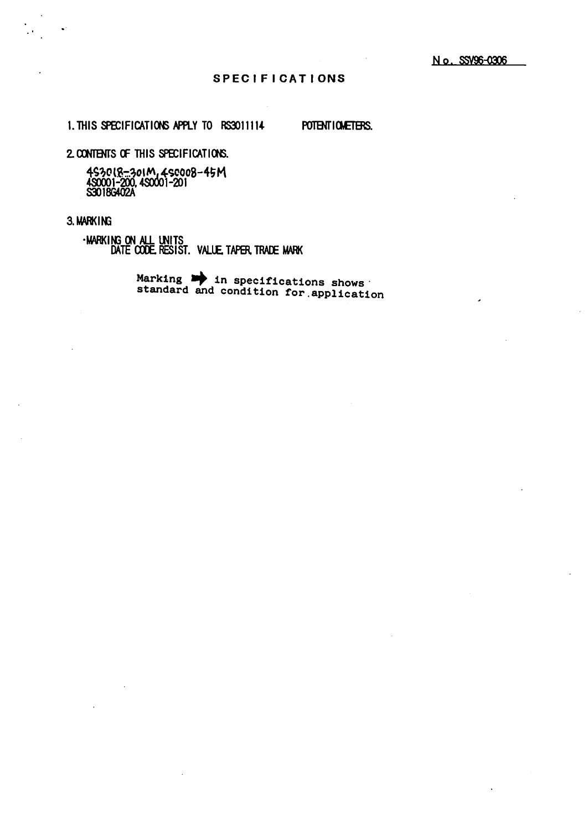#### **SPECIFICATIONS**

1. THIS SPECIFICATIONS APPLY TO RS3011114

POTENTIONETERS.

2. CONTENTS OF THIS SPECIFICATIONS.

4S30(8–301M,4S0008–45M<br>4S0001–200,4S0001–201<br>S3018G402A

### 3. MARKING

-MARKING ON ALL UNITS<br>DATE CODE, RESIST. VALUE, TAPER, TRADE MARK

Marking **be** in specifications shows<br>standard and condition for application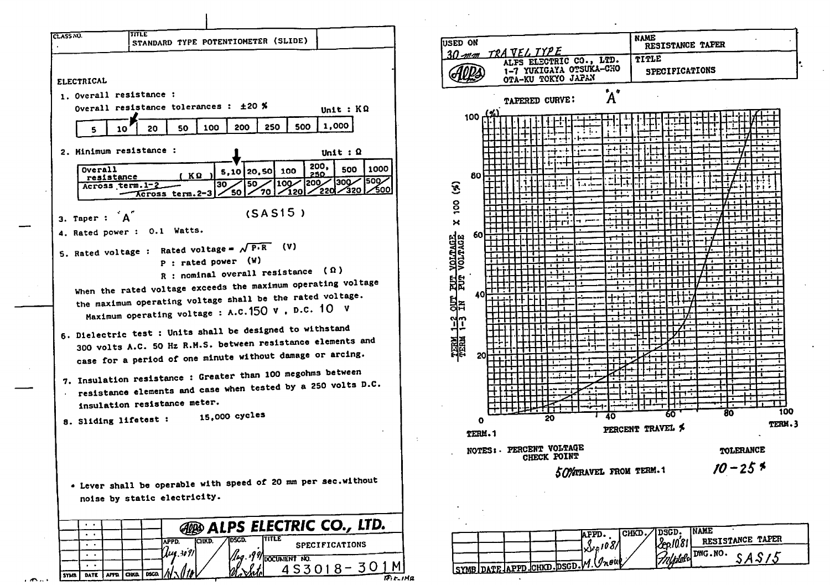

 $\epsilon$  and  $\epsilon$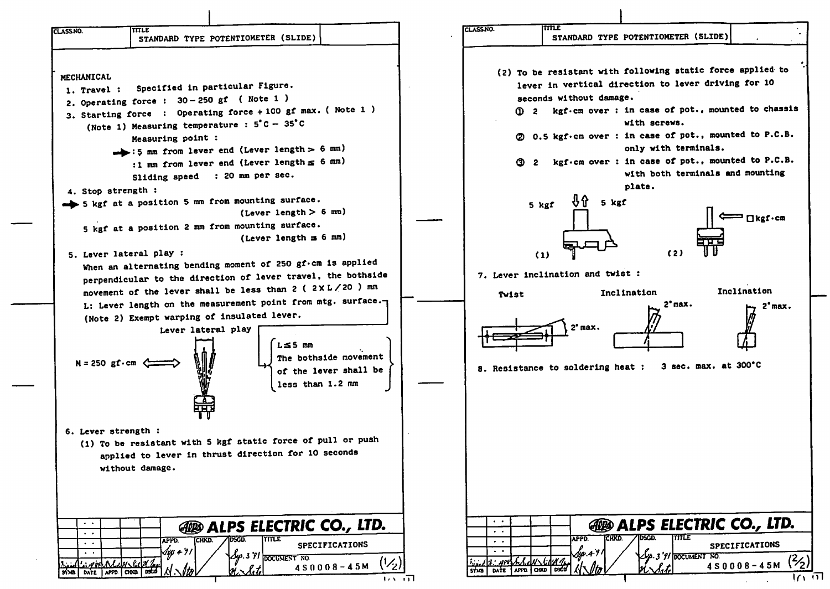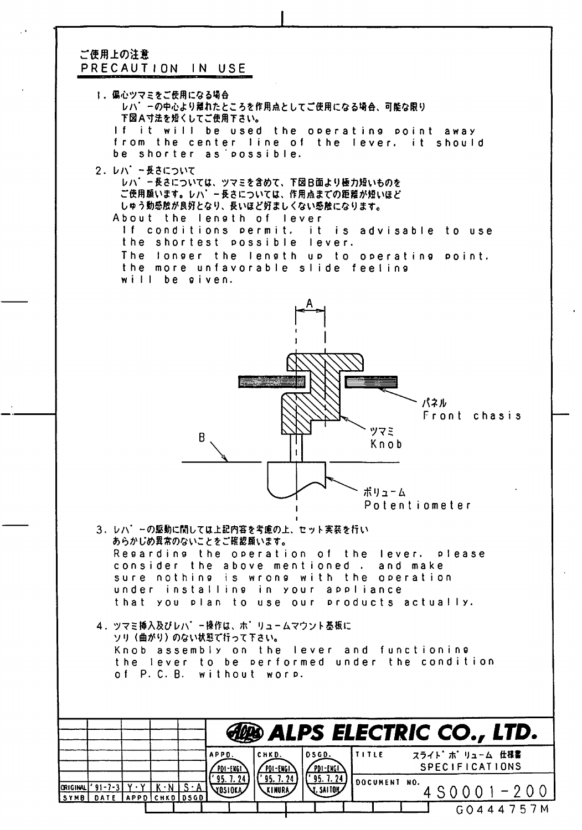## ご使用上の注意 PRECAUTION IN USE

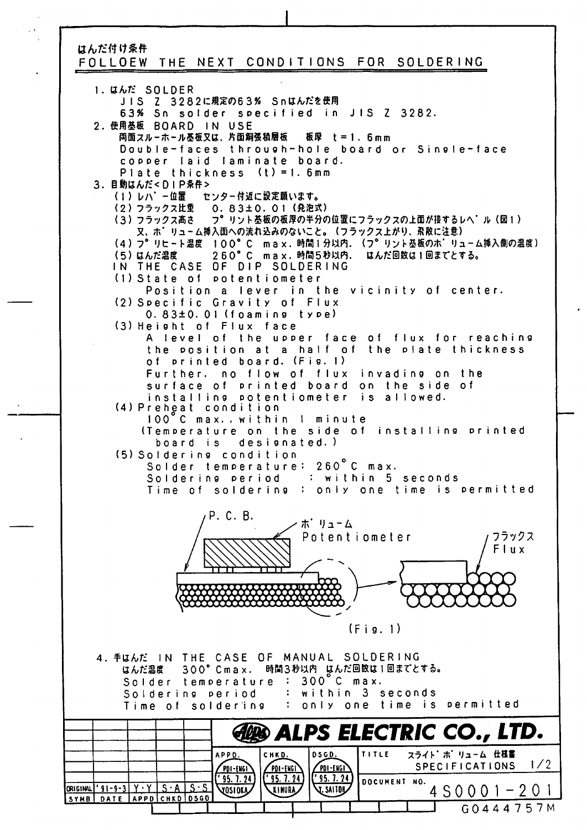# はんだ付け条件 FOLLOEW THE NEXT CONDITIONS FOR SOLDERING

1. **U**bt SOLDER JIS Z 3282に規定の63% Snはんだを使用 63% Sn solder specified in JIS Z 3282. 2. 使用基板 BOARD IN USE 両面スルーホール基板又は、片面銅張積層板 板厚 t = 1. 6mm Double-faces through-hole board or Single-face copper laid laminate board. Plate thickness (t) = 1. 6mm 3. 目動はんだ<DIP条件> \ | 丿 | 丿 / \ ̄ | | | | | | \_ | (2) フフックスに里 0.8 ろさし.0! (3)フラックス高さ フ゛リント憂破の敬厚のキ分の位置にフラックスの上面が接するレヘ ル(凶1) 又、ホ゛リューム挿入面への流れ込みのないこと。(フラックス上がり、系散に注意) I 00° C max (4) (7° 260° C max (つ丿 はんだ 温度 IN THE CASE OF DIP SOLDERING (I) State of potent iometer Position a lever in the vicinity of center. (2) Specific Gravity of Flux 0.83±0.01 (foaming type) (3) Height of Flux face A level of the upper face of flux for reaching the the position at a half of Plate thickness of printed board. (Fig. I) Further, no flow of flux invading on the surface of printed board on the side of instal I ing potent iometer is allowed. (4) Preheat condition 100 C max. .within I minute (Temperature on the side of installing printed board is designated.) (5) Soldering condition Solder temperature: 260 C max Soldering period '• within 5 seconds Time of soldering : only one time is permitted P. C. B ホ゛リューム Potentiometer フラックス Flux  $\alpha\alpha\alpha\alpha$ (Fig. I) MANUAL SOLDERING 4. 手はんだ IN THE CASE OF はんだ温度 3.00°Cm.ax. はんた凹臥はI凹まくとする。 Solder temperature 300° C max. Soldering period within 3 seconds Time of soldering : only one time is permitted **ELECTRIC CO., LTD.** .<br>chk<u>d.</u> |osg<u>o.</u> |Title スライト'ポリューム 仕様書 APPD. SPECIFICATIONS 1/2 PDI-ENGI  $P01 - E1161$ <u>PDI-ENGI</u>  $'$  95. 7. 24 DOCUMENT NO. I=f o I I I G0444757M **TOSIORA** 4S0001-20 1 ORIGINAL | '91-9-3 | <u>Y 'Y I S 'A I S 'S I</u> SYMB | DATE |APPD | CHKD | DSGD |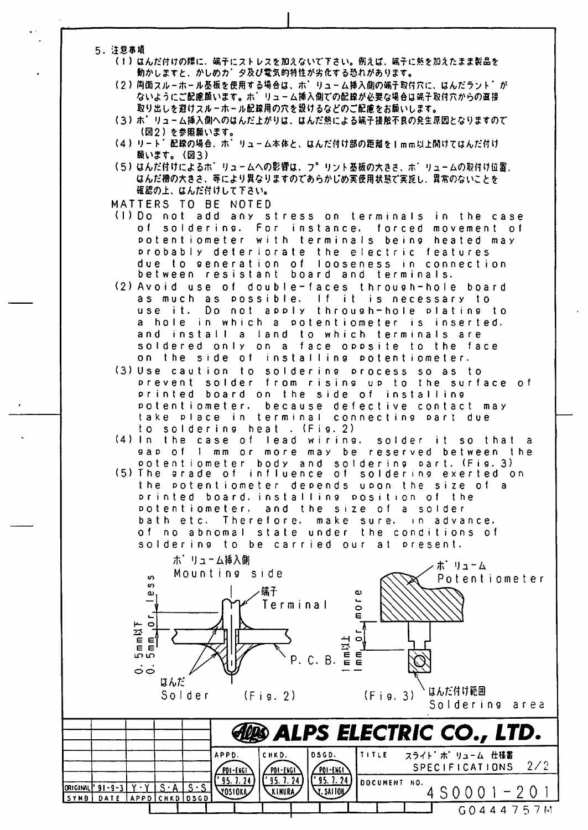- 5. 注意事項
	- (1) はんだ付けの際に、端子にストレスを加えないで下さい。例えば、端子に熱を加えたまま製品を 動かしますと、かしめカ゛夕及び電気的特性が劣化する恐れがあります。
		- (2)両面スルーホール基板を使用する場合は、ホ゛りューム挿入側の端子取付穴に、はんだラント゛が ないようにご配慮願います。ホーリューム挿入側での配線が必要な場合は端子取付穴からの直接 取り出しを避けスルーホール配線用の穴を設けるなどのご配慮をお願いします。
		- (3)ポ゛リューム挿入側へのはんだ上がりは、はんだ熱による端子接触不良の発生原因となりますので (図2) を参照願います。
		- (4) リート<sup>\*</sup>配線の場合、ホ<sup>\*</sup>リューム本体と、はんだ付け部の距離を1mm以上開けてはんだ付け 願います。(図3)
	- \つノ はんだけりによる小。 リュームへの彩質は、 ノーリ. はんだ櫓の大きさ、等により異なりますのであらかじめ実使用状態で実施し、異常のないことを 確認の上、はんだ付けして下さい。
	- MATTERS TO BE NOTED
	- (1)Do not add any stress on terminals in the case of soldering. For instance, forced movement of potentiometer with terminals being heated may probably deteriorate the electric features due to generation of looseness in connection between resistant board and terminals.
	- (2) Avoid use of double-faces through-hole board as much as possible. If it is necessary to use it. Do a hole in which a potentiometer is inserted. and install a land to which terminals are soldered only on a face oppsite to the face on the side of installing potentiometer. o not apply through-hole plating to
	- (3) Use caution to soldering process so as to prevent solder from rising up to the surface of printed board on the side of installing po t e n t i o m e t e r. b take place in terminal connecting part due to soldering heat . (Fig. 2). ecause defective contact may
	- (4) In the case of lead wiring, gap of 1 mm or more may be reserved between the potentiometer body and soldering part. (Fig.3) solder it so that a
	- The arade of influence of soldering exerted on the potentiometer depends upon the size of a printed board, installing position of the potentiometer, and the size of a solderbath etc. Therefore, of no abnomal state under the conditions of soldering to be carried our at present. m a k e s ure. in advance,